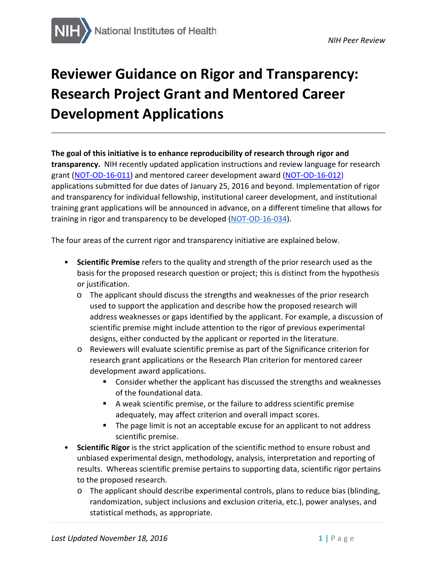# **Reviewer Guidance on Rigor and Transparency: Research Project Grant and Mentored Career Development Applications**

#### **The goal of this initiative is to enhance reproducibility of research through rigor and**

**transparency.** NIH recently updated application instructions and review language for research grant [\(NOT-OD-16-011\)](http://grants.nih.gov/grants/guide/notice-files/NOT-OD-16-011.html) and mentored career development award [\(NOT-OD-16-012\)](http://grants.nih.gov/grants/guide/notice-files/NOT-OD-16-012.html) applications submitted for due dates of January 25, 2016 and beyond. Implementation of rigor and transparency for individual fellowship, institutional career development, and institutional training grant applications will be announced in advance, on a different timeline that allows for training in rigor and transparency to be developed [\(NOT-OD-16-034\)](https://grants.nih.gov/grants/guide/notice-files/NOT-OD-16-034.html).

The four areas of the current rigor and transparency initiative are explained below.

- **Scientific Premise** refers to the quality and strength of the prior research used as the basis for the proposed research question or project; this is distinct from the hypothesis or justification.
	- $\circ$  The applicant should discuss the strengths and weaknesses of the prior research used to support the application and describe how the proposed research will address weaknesses or gaps identified by the applicant. For example, a discussion of scientific premise might include attention to the rigor of previous experimental designs, either conducted by the applicant or reported in the literature.
	- o Reviewers will evaluate scientific premise as part of the Significance criterion for research grant applications or the Research Plan criterion for mentored career development award applications.
		- Consider whether the applicant has discussed the strengths and weaknesses of the foundational data.
		- A weak scientific premise, or the failure to address scientific premise adequately, may affect criterion and overall impact scores.
		- **The page limit is not an acceptable excuse for an applicant to not address** scientific premise.
- **Scientific Rigor** is the strict application of the scientific method to ensure robust and unbiased experimental design, methodology, analysis, interpretation and reporting of results. Whereas scientific premise pertains to supporting data, scientific rigor pertains to the proposed research.
	- o The applicant should describe experimental controls, plans to reduce bias (blinding, randomization, subject inclusions and exclusion criteria, etc.), power analyses, and statistical methods, as appropriate.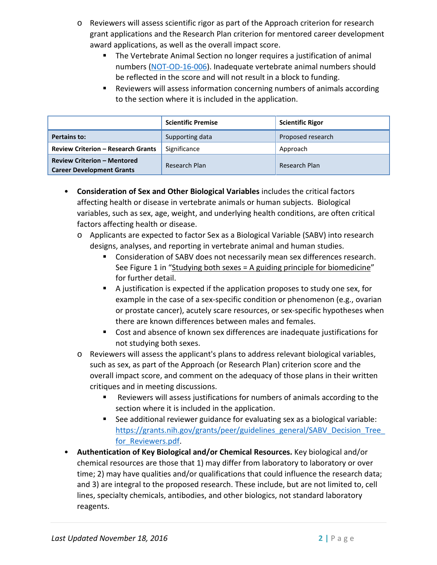- o Reviewers will assess scientific rigor as part of the Approach criterion for research grant applications and the Research Plan criterion for mentored career development award applications, as well as the overall impact score.
	- The Vertebrate Animal Section no longer requires a justification of animal numbers [\(NOT-OD-16-006\)](https://grants.nih.gov/grants/guide/notice-files/NOT-OD-16-006.html). Inadequate vertebrate animal numbers should be reflected in the score and will not result in a block to funding.
	- Reviewers will assess information concerning numbers of animals according to the section where it is included in the application.

|                                                                        | <b>Scientific Premise</b> | <b>Scientific Rigor</b> |  |
|------------------------------------------------------------------------|---------------------------|-------------------------|--|
| <b>Pertains to:</b>                                                    | Supporting data           | Proposed research       |  |
| <b>Review Criterion - Research Grants</b>                              | Significance              | Approach                |  |
| <b>Review Criterion - Mentored</b><br><b>Career Development Grants</b> | Research Plan             | Research Plan           |  |

- **Consideration of Sex and Other Biological Variables** includes the critical factors affecting health or disease in vertebrate animals or human subjects. Biological variables, such as sex, age, weight, and underlying health conditions, are often critical factors affecting health or disease.
	- o Applicants are expected to factor Sex as a Biological Variable (SABV) into research designs, analyses, and reporting in vertebrate animal and human studies.
		- Consideration of SABV does not necessarily mean sex differences research. See Figure 1 in ["Studying both sexes =](http://www.fasebj.org/content/30/2/519.long) A guiding principle for biomedicine" for further detail.
		- A justification is expected if the application proposes to study one sex, for example in the case of a sex-specific condition or phenomenon (e.g., ovarian or prostate cancer), acutely scare resources, or sex-specific hypotheses when there are known differences between males and females.
		- Cost and absence of known sex differences are inadequate justifications for not studying both sexes.
	- o Reviewers will assess the applicant's plans to address relevant biological variables, such as sex, as part of the Approach (or Research Plan) criterion score and the overall impact score, and comment on the adequacy of those plans in their written critiques and in meeting discussions.
		- Reviewers will assess justifications for numbers of animals according to the section where it is included in the application.
		- See additional reviewer guidance for evaluating sex as a biological variable: https://grants.nih.gov/grants/peer/guidelines\_general/SABV\_Decision\_Tree for Reviewers.pdf.
- **Authentication of Key Biological and/or Chemical Resources.** Key biological and/or chemical resources are those that 1) may differ from laboratory to laboratory or over time; 2) may have qualities and/or qualifications that could influence the research data; and 3) are integral to the proposed research. These include, but are not limited to, cell lines, specialty chemicals, antibodies, and other biologics, not standard laboratory reagents.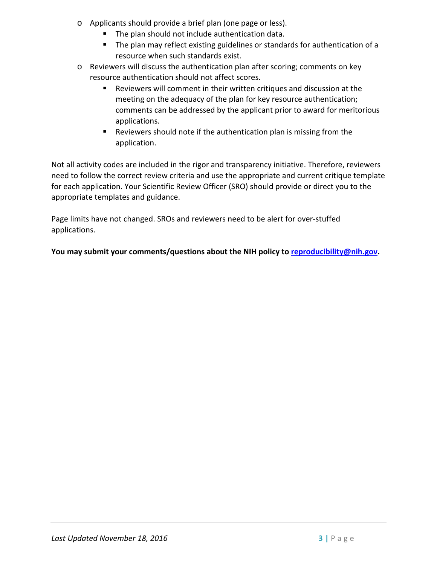- o Applicants should provide a brief plan (one page or less).
	- The plan should not include authentication data.
	- **The plan may reflect existing guidelines or standards for authentication of a** resource when such standards exist.
- o Reviewers will discuss the authentication plan after scoring; comments on key resource authentication should not affect scores.
	- Reviewers will comment in their written critiques and discussion at the meeting on the adequacy of the plan for key resource authentication; comments can be addressed by the applicant prior to award for meritorious applications.
	- Reviewers should note if the authentication plan is missing from the application.

Not all activity codes are included in the rigor and transparency initiative. Therefore, reviewers need to follow the correct review criteria and use the appropriate and current critique template for each application. Your Scientific Review Officer (SRO) should provide or direct you to the appropriate templates and guidance.

Page limits have not changed. SROs and reviewers need to be alert for over-stuffed applications.

You may submit your comments/questions about the NIH policy to reproducibility@nih.gov.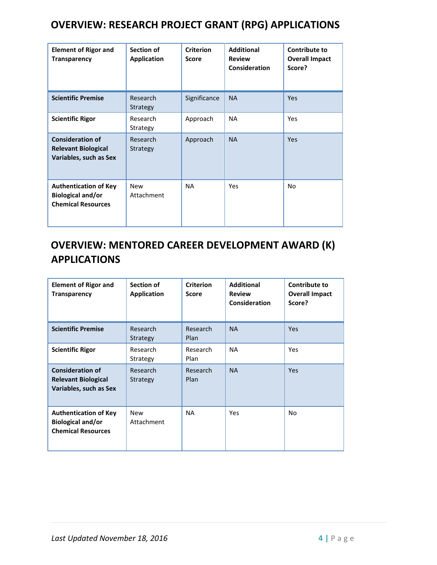### **OVERVIEW: RESEARCH PROJECT GRANT (RPG) APPLICATIONS**

| <b>Element of Rigor and</b><br><b>Transparency</b>                                    | Section of<br><b>Application</b> | <b>Criterion</b><br><b>Score</b> | <b>Additional</b><br><b>Review</b><br>Consideration | <b>Contribute to</b><br><b>Overall Impact</b><br>Score? |
|---------------------------------------------------------------------------------------|----------------------------------|----------------------------------|-----------------------------------------------------|---------------------------------------------------------|
| <b>Scientific Premise</b>                                                             | Research<br>Strategy             | Significance                     | <b>NA</b>                                           | <b>Yes</b>                                              |
| <b>Scientific Rigor</b>                                                               | Research<br>Strategy             | Approach                         | <b>NA</b>                                           | Yes                                                     |
| <b>Consideration of</b><br><b>Relevant Biological</b><br>Variables, such as Sex       | Research<br>Strategy             | Approach                         | <b>NA</b>                                           | Yes                                                     |
| <b>Authentication of Key</b><br><b>Biological and/or</b><br><b>Chemical Resources</b> | <b>New</b><br>Attachment         | <b>NA</b>                        | Yes                                                 | No                                                      |

## **OVERVIEW: MENTORED CAREER DEVELOPMENT AWARD (K) APPLICATIONS**

| <b>Element of Rigor and</b><br><b>Transparency</b>                                    | Section of<br><b>Application</b> | <b>Criterion</b><br><b>Score</b> | <b>Additional</b><br><b>Review</b><br>Consideration | Contribute to<br><b>Overall Impact</b><br>Score? |
|---------------------------------------------------------------------------------------|----------------------------------|----------------------------------|-----------------------------------------------------|--------------------------------------------------|
| <b>Scientific Premise</b>                                                             | Research<br>Strategy             | Research<br>Plan                 | <b>NA</b>                                           | <b>Yes</b>                                       |
| <b>Scientific Rigor</b>                                                               | Research<br>Strategy             | Research<br>Plan                 | <b>NA</b>                                           | <b>Yes</b>                                       |
| <b>Consideration of</b><br><b>Relevant Biological</b><br>Variables, such as Sex       | Research<br>Strategy             | Research<br>Plan                 | <b>NA</b>                                           | <b>Yes</b>                                       |
| <b>Authentication of Key</b><br><b>Biological and/or</b><br><b>Chemical Resources</b> | <b>New</b><br>Attachment         | <b>NA</b>                        | Yes                                                 | No                                               |